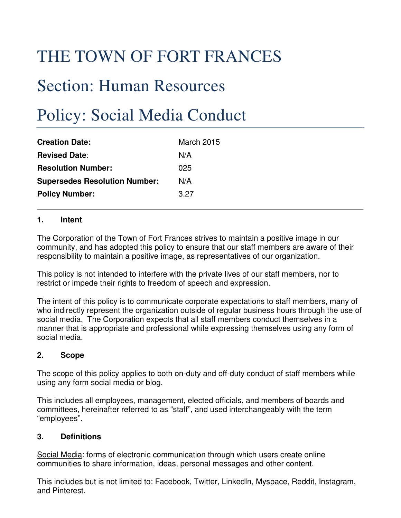## THE TOWN OF FORT FRANCES

### Section: Human Resources

# Policy: Social Media Conduct

| <b>Creation Date:</b>                | <b>March 2015</b> |
|--------------------------------------|-------------------|
| <b>Revised Date:</b>                 | N/A               |
| <b>Resolution Number:</b>            | 025               |
| <b>Supersedes Resolution Number:</b> | N/A               |
| <b>Policy Number:</b>                | 3.27              |

#### **1. Intent**

The Corporation of the Town of Fort Frances strives to maintain a positive image in our community, and has adopted this policy to ensure that our staff members are aware of their responsibility to maintain a positive image, as representatives of our organization.

This policy is not intended to interfere with the private lives of our staff members, nor to restrict or impede their rights to freedom of speech and expression.

The intent of this policy is to communicate corporate expectations to staff members, many of who indirectly represent the organization outside of regular business hours through the use of social media. The Corporation expects that all staff members conduct themselves in a manner that is appropriate and professional while expressing themselves using any form of social media.

#### **2. Scope**

The scope of this policy applies to both on-duty and off-duty conduct of staff members while using any form social media or blog.

This includes all employees, management, elected officials, and members of boards and committees, hereinafter referred to as "staff", and used interchangeably with the term "employees".

#### **3. Definitions**

Social Media: forms of electronic communication through which users create online communities to share information, ideas, personal messages and other content.

This includes but is not limited to: Facebook, Twitter, LinkedIn, Myspace, Reddit, Instagram, and Pinterest.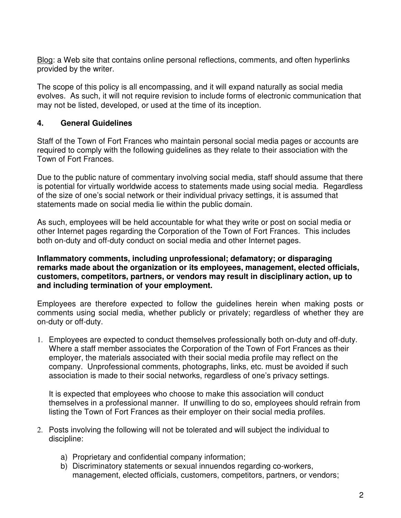Blog: a Web site that contains online personal reflections, comments, and often hyperlinks provided by the writer.

The scope of this policy is all encompassing, and it will expand naturally as social media evolves. As such, it will not require revision to include forms of electronic communication that may not be listed, developed, or used at the time of its inception.

#### **4. General Guidelines**

Staff of the Town of Fort Frances who maintain personal social media pages or accounts are required to comply with the following guidelines as they relate to their association with the Town of Fort Frances.

Due to the public nature of commentary involving social media, staff should assume that there is potential for virtually worldwide access to statements made using social media. Regardless of the size of one's social network or their individual privacy settings, it is assumed that statements made on social media lie within the public domain.

As such, employees will be held accountable for what they write or post on social media or other Internet pages regarding the Corporation of the Town of Fort Frances. This includes both on-duty and off-duty conduct on social media and other Internet pages.

**Inflammatory comments, including unprofessional; defamatory; or disparaging remarks made about the organization or its employees, management, elected officials, customers, competitors, partners, or vendors may result in disciplinary action, up to and including termination of your employment.** 

Employees are therefore expected to follow the guidelines herein when making posts or comments using social media, whether publicly or privately; regardless of whether they are on-duty or off-duty.

1. Employees are expected to conduct themselves professionally both on-duty and off-duty. Where a staff member associates the Corporation of the Town of Fort Frances as their employer, the materials associated with their social media profile may reflect on the company. Unprofessional comments, photographs, links, etc. must be avoided if such association is made to their social networks, regardless of one's privacy settings.

It is expected that employees who choose to make this association will conduct themselves in a professional manner. If unwilling to do so, employees should refrain from listing the Town of Fort Frances as their employer on their social media profiles.

- 2. Posts involving the following will not be tolerated and will subject the individual to discipline:
	- a) Proprietary and confidential company information;
	- b) Discriminatory statements or sexual innuendos regarding co-workers, management, elected officials, customers, competitors, partners, or vendors;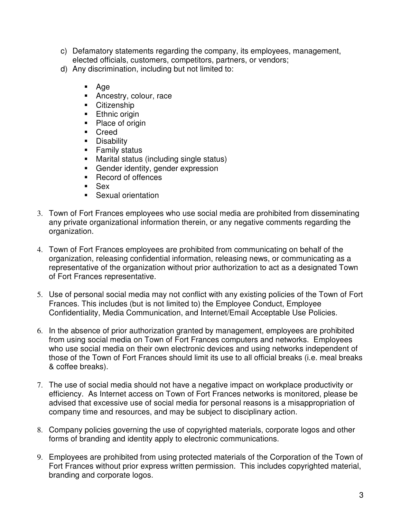- c) Defamatory statements regarding the company, its employees, management, elected officials, customers, competitors, partners, or vendors;
- d) Any discrimination, including but not limited to:
	- $Aq$ e
	- **Ancestry, colour, race**
	- **Citizenship**
	- **Ethnic origin**
	- Place of origin
	- Creed
	- **Disability**
	- **Family status**
	- **Marital status (including single status)**
	- **Gender identity, gender expression**
	- Record of offences
	- Sex
	- **Sexual orientation**
- 3. Town of Fort Frances employees who use social media are prohibited from disseminating any private organizational information therein, or any negative comments regarding the organization.
- 4. Town of Fort Frances employees are prohibited from communicating on behalf of the organization, releasing confidential information, releasing news, or communicating as a representative of the organization without prior authorization to act as a designated Town of Fort Frances representative.
- 5. Use of personal social media may not conflict with any existing policies of the Town of Fort Frances. This includes (but is not limited to) the Employee Conduct, Employee Confidentiality, Media Communication, and Internet/Email Acceptable Use Policies.
- 6. In the absence of prior authorization granted by management, employees are prohibited from using social media on Town of Fort Frances computers and networks. Employees who use social media on their own electronic devices and using networks independent of those of the Town of Fort Frances should limit its use to all official breaks (i.e. meal breaks & coffee breaks).
- 7. The use of social media should not have a negative impact on workplace productivity or efficiency. As Internet access on Town of Fort Frances networks is monitored, please be advised that excessive use of social media for personal reasons is a misappropriation of company time and resources, and may be subject to disciplinary action.
- 8. Company policies governing the use of copyrighted materials, corporate logos and other forms of branding and identity apply to electronic communications.
- 9. Employees are prohibited from using protected materials of the Corporation of the Town of Fort Frances without prior express written permission. This includes copyrighted material, branding and corporate logos.